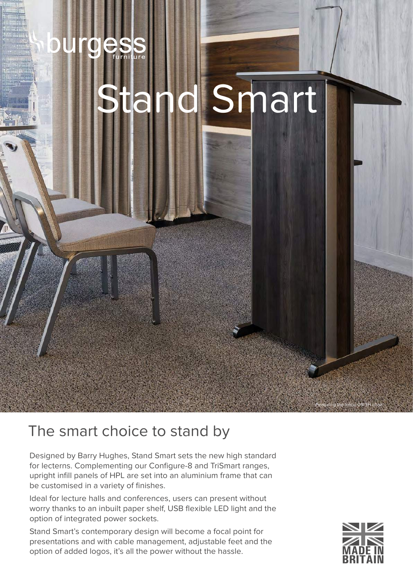## **es** g d Smart

## The smart choice to stand by

Designed by Barry Hughes, Stand Smart sets the new high standard for lecterns. Complementing our Configure-8 and TriSmart ranges, upright infill panels of HPL are set into an aluminium frame that can be customised in a variety of finishes.

Ideal for lecture halls and conferences, users can present without worry thanks to an inbuilt paper shelf, USB flexible LED light and the option of integrated power sockets.

Stand Smart's contemporary design will become a focal point for presentations and with cable management, adjustable feet and the option of added logos, it's all the power without the hassle.



Featuring the Inicio 09/3H chair.